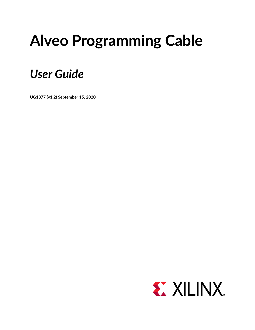# **Alveo Programming Cable**

## *User Guide*

**UG1377 (v1.2) September 15, 2020**

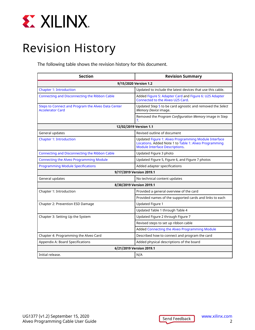<span id="page-1-0"></span>

## Revision History

The following table shows the revision history for this document.

| <b>Section</b>                                                                | <b>Revision Summary</b>                                                                                                                                |  |  |
|-------------------------------------------------------------------------------|--------------------------------------------------------------------------------------------------------------------------------------------------------|--|--|
| 9/15/2020 Version 1.2                                                         |                                                                                                                                                        |  |  |
| <b>Chapter 1: Introduction</b>                                                | Updated to include the latest devices that use this cable.                                                                                             |  |  |
| Connecting and Disconnecting the Ribbon Cable                                 | Added Figure 5: Adapter Card and Figure 6: U25 Adapter<br>Connected to the Alveo U25 Card.                                                             |  |  |
| Steps to Connect and Program the Alveo Data Center<br><b>Accelerator Card</b> | Updated Step 5 to be card agnostic and removed the Select<br>Memory Device image.                                                                      |  |  |
|                                                                               | Removed the Program Configuration Memory image in Step<br>7.                                                                                           |  |  |
|                                                                               | 12/02/2019 Version 1.1                                                                                                                                 |  |  |
| General updates                                                               | Revised outline of document                                                                                                                            |  |  |
| <b>Chapter 1: Introduction</b>                                                | Updated Figure 1: Alveo Programming Module Interface<br>Locations. Added Note 1 to Table 1: Alveo Programming<br><b>Module Interface Descriptions.</b> |  |  |
| Connecting and Disconnecting the Ribbon Cable                                 | Updated Figure 3 photo                                                                                                                                 |  |  |
| <b>Connecting the Alveo Programming Module</b>                                | Updated Figure 5, Figure 6, and Figure 7 photos                                                                                                        |  |  |
| <b>Programming Module Specifications</b>                                      | Added adapter specifications                                                                                                                           |  |  |
|                                                                               | 9/17/2019 Version 2019.1                                                                                                                               |  |  |
| General updates                                                               | No technical content updates                                                                                                                           |  |  |
|                                                                               | 8/30/2019 Version 2019.1                                                                                                                               |  |  |
| Chapter 1: Introduction                                                       | Provided a general overview of the card                                                                                                                |  |  |
|                                                                               | Provided names of the supported cards and links to each                                                                                                |  |  |
| Chapter 2: Prevention ESD Damage                                              | Updated Figure 1                                                                                                                                       |  |  |
|                                                                               | Updated Table 1 through Table 4                                                                                                                        |  |  |
| Chapter 3: Setting Up the System                                              | Updated Figure 2 through Figure 7                                                                                                                      |  |  |
|                                                                               | Revised steps to set up ribbon cable                                                                                                                   |  |  |
|                                                                               | Added Connecting the Alveo Programming Module                                                                                                          |  |  |
| Chapter 4: Programming the Alveo Card                                         | Described how to connect and program the card                                                                                                          |  |  |
| Appendix A: Board Specifications                                              | Added physical descriptions of the board                                                                                                               |  |  |
| 6/21/2019 Version 2019.1                                                      |                                                                                                                                                        |  |  |
| Initial release.                                                              | N/A                                                                                                                                                    |  |  |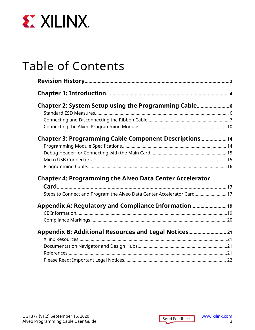

## Table of Contents

| Chapter 2: System Setup using the Programming Cable                    |  |
|------------------------------------------------------------------------|--|
|                                                                        |  |
|                                                                        |  |
|                                                                        |  |
| Chapter 3: Programming Cable Component Descriptions 14                 |  |
|                                                                        |  |
|                                                                        |  |
|                                                                        |  |
|                                                                        |  |
| <b>Chapter 4: Programming the Alveo Data Center Accelerator</b>        |  |
|                                                                        |  |
| Steps to Connect and Program the Alveo Data Center Accelerator Card 17 |  |
| Appendix A: Regulatory and Compliance Information                      |  |
|                                                                        |  |
|                                                                        |  |
| Appendix B: Additional Resources and Legal Notices 21                  |  |
|                                                                        |  |
|                                                                        |  |
|                                                                        |  |
|                                                                        |  |

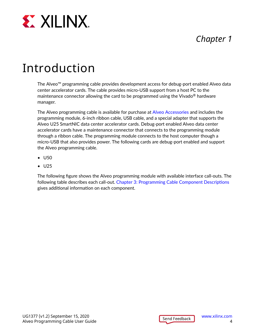<span id="page-3-0"></span>

### *Chapter 1*

## Introduction

The Alveo™ programming cable provides development access for debug-port enabled Alveo data center accelerator cards. The cable provides micro-USB support from a host PC to the maintenance connector allowing the card to be programmed using the Vivado<sup>®</sup> hardware manager.

The Alveo programming cable is available for purchase at [Alveo Accessories](https://www.xilinx.com/products/boards-and-kits/alveo/accessories.html) and includes the programming module, 6-inch ribbon cable, USB cable, and a special adapter that supports the Alveo U25 SmartNIC data center accelerator cards. Debug-port enabled Alveo data center accelerator cards have a maintenance connector that connects to the programming module through a ribbon cable. The programming module connects to the host computer though a micro-USB that also provides power. The following cards are debug-port enabled and support the Alveo programming cable.

- U50
- U25

The following figure shows the Alveo programming module with available interface call-outs. The following table describes each call-out. [Chapter 3: Programming Cable Component Descriptions](#page-13-0) gives additional information on each component.

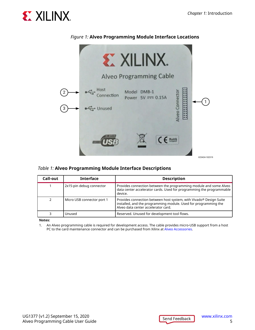<span id="page-4-0"></span>



#### *Figure 1:* **Alveo Programming Module Interface Locations**

#### *Table 1:* **Alveo Programming Module Interface Descriptions**

| Call-out | <b>Interface</b>           | <b>Description</b>                                                                                                                                                           |
|----------|----------------------------|------------------------------------------------------------------------------------------------------------------------------------------------------------------------------|
|          | 2x15-pin debug connector   | Provides connection between the programming module and some Alveo<br>data center accelerator cards. Used for programming the programmable<br>device.                         |
|          | Micro USB connector port 1 | Provides connection between host system, with Vivado® Design Suite<br>installed, and the programming module. Used for programming the<br>Alveo data center accelerator card. |
|          | Unused                     | Reserved. Unused for development tool flows.                                                                                                                                 |

**Notes:**

1. An Alveo programming cable is required for development access. The cable provides micro-USB support from a host PC to the card maintenance connector and can be purchased from Xilinx at [Alveo Accessories](https://www.xilinx.com/products/boards-and-kits/alveo/accessories.html).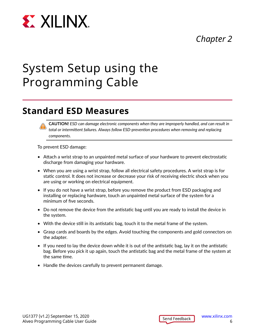<span id="page-5-0"></span>

### *Chapter 2*

## System Setup using the Programming Cable

### **Standard ESD Measures**



To prevent ESD damage:

- Attach a wrist strap to an unpainted metal surface of your hardware to prevent electrostatic discharge from damaging your hardware.
- When you are using a wrist strap, follow all electrical safety procedures. A wrist strap is for static control. It does not increase or decrease your risk of receiving electric shock when you are using or working on electrical equipment.
- If you do not have a wrist strap, before you remove the product from ESD packaging and installing or replacing hardware, touch an unpainted metal surface of the system for a minimum of five seconds.
- Do not remove the device from the antistatic bag until you are ready to install the device in the system.
- With the device still in its antistatic bag, touch it to the metal frame of the system.
- Grasp cards and boards by the edges. Avoid touching the components and gold connectors on the adapter.
- If you need to lay the device down while it is out of the antistatic bag, lay it on the antistatic bag. Before you pick it up again, touch the antistatic bag and the metal frame of the system at the same time.
- Handle the devices carefully to prevent permanent damage.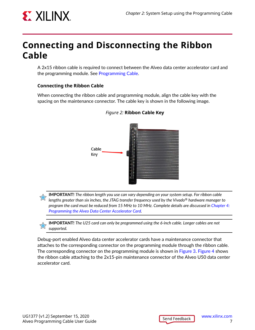<span id="page-6-0"></span>

### **Connecting and Disconnecting the Ribbon Cable**

A 2x15 ribbon cable is required to connect between the Alveo data center accelerator card and the programming module. See [Programming Cable.](#page-15-0)

#### **Connecting the Ribbon Cable**

When connecting the ribbon cable and programming module, align the cable key with the spacing on the maintenance connector. The cable key is shown in the following image.



#### *Figure 2:* **Ribbon Cable Key**

**IMPORTANT!** *The ribbon length you use can vary depending on your system setup. For ribbon cable lengths greater than six inches, the JTAG transfer frequency used by the Vivado® hardware manager to program the card must be reduced from 15 MHz to 10 MHz. Complete details are discussed in [Chapter 4:](#page-16-0) [Programming the Alveo Data Center Accelerator Card.](#page-16-0)*

**IMPORTANT!** *The U25 card can only be programmed using the 6-inch cable. Longer cables are not supported.*

Debug-port enabled Alveo data center accelerator cards have a maintenance connector that attaches to the corresponding connector on the programming module through the ribbon cable. The corresponding connector on the programming module is shown in [Figure 3. Figure 4](#page-7-0) shows the ribbon cable attaching to the 2x15-pin maintenance connector of the Alveo U50 data center accelerator card.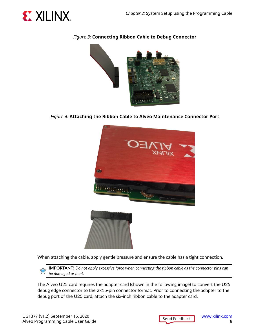<span id="page-7-0"></span>

#### *Figure 3:* **Connecting Ribbon Cable to Debug Connector**



*Figure 4:* **Attaching the Ribbon Cable to Alveo Maintenance Connector Port**



When attaching the cable, apply gentle pressure and ensure the cable has a tight connection.

**IMPORTANT!** *Do not apply excessive force when connecting the ribbon cable as the connector pins can be damaged or bent.*

The Alveo U25 card requires the adapter card (shown in the following image) to convert the U25 debug edge connector to the 2x15-pin connector format. Prior to connecting the adapter to the debug port of the U25 card, attach the six-inch ribbon cable to the adapter card.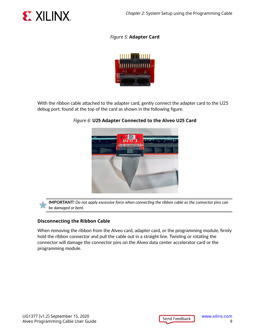<span id="page-8-0"></span>

#### *Figure 5:* **Adapter Card**



With the ribbon cable attached to the adapter card, gently connect the adapter card to the U25 debug port, found at the top of the card as shown in the following figure.



#### *Figure 6:* **U25 Adapter Connected to the Alveo U25 Card**

**IMPORTANT!** *Do not apply excessive force when connecting the ribbon cable as the connector pins can be damaged or bent.*

#### **Disconnecting the Ribbon Cable**

When removing the ribbon from the Alveo card, adapter card, or the programming module, firmly hold the ribbon connector and pull the cable out in a straight line. Twisting or rotating the connector will damage the connector pins on the Alveo data center accelerator card or the programming module.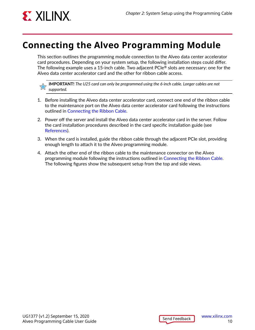<span id="page-9-0"></span>

### **Connecting the Alveo Programming Module**

This section outlines the programming module connection to the Alveo data center accelerator card procedures. Depending on your system setup, the following installation steps could differ. The following example uses a 15-inch cable. Two adjacent  $PCle^{\circledR}$  slots are necessary: one for the Alveo data center accelerator card and the other for ribbon cable access.

**IMPORTANT!** *The U25 card can only be programmed using the 6-inch cable. Longer cables are not supported.*

- 1. Before installing the Alveo data center accelerator card, connect one end of the ribbon cable to the maintenance port on the Alveo data center accelerator card following the instructions outlined in [Connecting the Ribbon Cable](#page-6-0).
- 2. Power off the server and install the Alveo data center accelerator card in the server. Follow the card installation procedures described in the card specific installation guide (see [References](#page-20-0)).
- 3. When the card is installed, guide the ribbon cable through the adjacent PCIe slot, providing enough length to attach it to the Alveo programming module.
- 4. Attach the other end of the ribbon cable to the maintenance connector on the Alveo programming module following the instructions outlined in [Connecting the Ribbon Cable](#page-6-0). The following figures show the subsequent setup from the top and side views.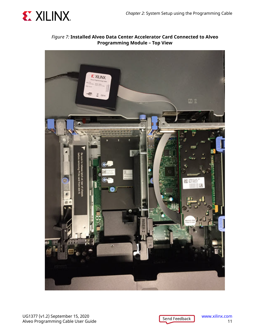

*Figure 7:* **Installed Alveo Data Center Accelerator Card Connected to Alveo Programming Module – Top View**



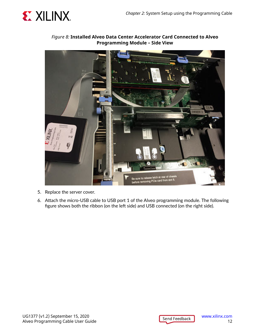

#### *Figure 8:* **Installed Alveo Data Center Accelerator Card Connected to Alveo Programming Module – Side View**



- 5. Replace the server cover.
- 6. Attach the micro-USB cable to USB port 1 of the Alveo programming module. The following figure shows both the ribbon (on the left side) and USB connected (on the right side).

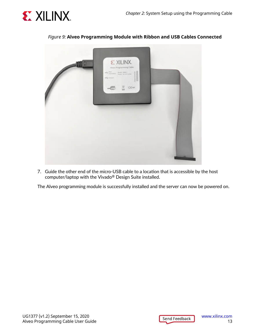



#### *Figure 9:* **Alveo Programming Module with Ribbon and USB Cables Connected**

7. Guide the other end of the micro-USB cable to a location that is accessible by the host computer/laptop with the Vivado® Design Suite installed.

The Alveo programming module is successfully installed and the server can now be powered on.

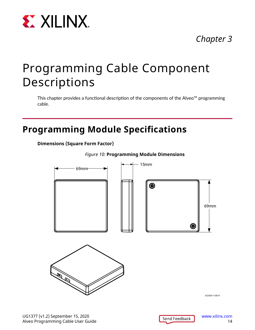<span id="page-13-0"></span>

### *Chapter 3*

## Programming Cable Component Descriptions

This chapter provides a functional description of the components of the Alveo™ programming cable.

### **Programming Module Specifications**

**Dimensions (Square Form Factor)**





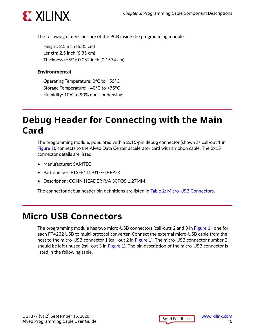<span id="page-14-0"></span>

The following dimensions are of the PCB inside the programming module:

Height: 2.5 inch (6.35 cm) Length: 2.5 inch (6.35 cm) Thickness (±5%): 0.062 inch (0.1574 cm)

#### **Environmental**

Operating Temperature: 0°C to +55°C Storage Temperature: –40°C to +75°C Humidity: 10% to 90% non-condensing

### **Debug Header for Connecting with the Main Card**

The programming module, populated with a 2x15-pin debug connector (shown as call-out 1 in [Figure 1](#page-4-0)), connects to the Alveo Data Center accelerator card with a ribbon cable. The 2x15 connector details are listed.

- Manufacturer: SAMTEC
- Part number: FTSH-115-01-F-D-RA-K
- Description: CONN HEADER R/A 30POS 1.27MM

The connector debug header pin definitions are listed in [Table 2: Micro-USB Connectors](#page-15-0).

### **Micro USB Connectors**

The programming module has two micro-USB connectors (call-outs 2 and 3 in [Figure 1](#page-4-0)), one for each FT4232 USB to multi-protocol converter. Connect the external micro-USB cable from the host to the micro-USB connector 1 (call-out 2 in [Figure 1](#page-4-0)). The micro-USB connector number 2 should be left unused (call-out 3 in [Figure 1](#page-4-0)). The pin description of the micro-USB connector is listed in the following table.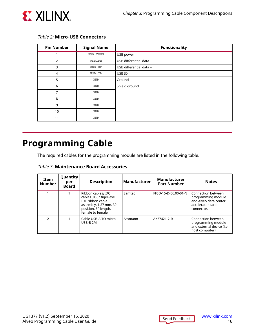<span id="page-15-0"></span>

| <b>Pin Number</b> | <b>Signal Name</b> | <b>Functionality</b>    |
|-------------------|--------------------|-------------------------|
|                   | USB_VBUS           | USB power               |
| 2                 | USB_DN             | USB differential data - |
| 3                 | USB_DP             | USB differential data + |
| 4                 | USB_ID             | USB ID                  |
| 5                 | GND                | Ground                  |
| 6                 | GND                | Shield ground           |
| $\overline{7}$    | GND                |                         |
| 8                 | GND                |                         |
| 9                 | GND                |                         |
| 10                | GND                |                         |
| 11                | GND                |                         |

#### *Table 2:* **Micro-USB Connectors**

### **Programming Cable**

The required cables for the programming module are listed in the following table.

|  | Table 3: Maintenance Board Accessories |  |  |
|--|----------------------------------------|--|--|
|--|----------------------------------------|--|--|

| Item<br><b>Number</b> | Quantity<br>per<br>Board | <b>Description</b>                                                                                                                          | Manufacturer | <b>Manufacturer</b><br><b>Part Number</b> | <b>Notes</b>                                                                                        |
|-----------------------|--------------------------|---------------------------------------------------------------------------------------------------------------------------------------------|--------------|-------------------------------------------|-----------------------------------------------------------------------------------------------------|
|                       |                          | Ribbon cables/IDC<br>cables .050" tiger-eye<br><b>IDC</b> ribbon cable<br>assembly, 1.27 mm, 30<br>position, 6" length,<br>female to female | Samtec       | FFSD-15-D-06.00-01-N                      | Connection between<br>programming module<br>and Alveo data center<br>accelerator card<br>connector. |
| າ                     |                          | Cable USB-A TO micro<br>USB-B 2M                                                                                                            | Assmann      | AK67421-2-R                               | Connection between<br>programming module<br>and external device (i.e.,<br>host computer)            |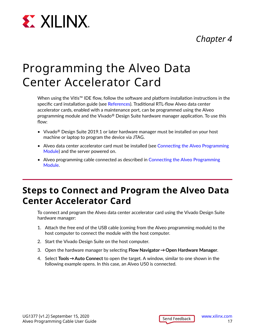

# <span id="page-16-0"></span>**EXALINX**

## Programming the Alveo Data Center Accelerator Card

When using the Vitis™ IDE flow, follow the software and platform installation instructions in the specific card installation guide (see [References](#page-20-0)). Traditional RTL-flow Alveo data center accelerator cards, enabled with a maintenance port, can be programmed using the Alveo programming module and the Vivado $\mathcal{P}$  Design Suite hardware manager application. To use this flow:

- Vivado<sup>®</sup> Design Suite 2019.1 or later hardware manager must be installed on your host machine or laptop to program the device via JTAG.
- Alveo data center accelerator card must be installed (see [Connecting the Alveo Programming](#page-9-0) [Module](#page-9-0)) and the server powered on.
- Alveo programming cable connected as described in [Connecting the Alveo Programming](#page-9-0) [Module](#page-9-0).

### **Steps to Connect and Program the Alveo Data Center Accelerator Card**

To connect and program the Alveo data center accelerator card using the Vivado Design Suite hardware manager:

- 1. Attach the free end of the USB cable (coming from the Alveo programming module) to the host computer to connect the module with the host computer.
- 2. Start the Vivado Design Suite on the host computer.
- 3. Open the hardware manager by selecting **Flow Navigator → Open Hardware Manager**.
- 4. Select **Tools → Auto Connect** to open the target. A window, similar to one shown in the following example opens. In this case, an Alveo U50 is connected.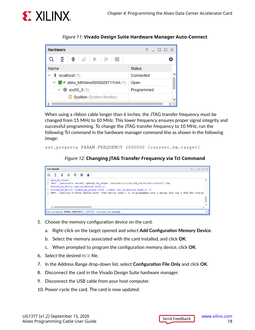<span id="page-17-0"></span>

*Figure 11:* **Vivado Design Suite Hardware Manager Auto-Connect**



When using a ribbon cable longer than 6 inches, the JTAG transfer frequency must be changed from 15 MHz to 10 MHz. This lower frequency ensures proper signal integrity and successful programming. To change the JTAG transfer frequency to 10 MHz, run the following Tcl command in the hardware manager command line as shown in the following image:

```
set_property PARAM.FREQUENCY 1000000 [current_hw_target]
```
*Figure 12:* **Changing JTAG Transfer Frequency via Tcl Command**

| <b>Tcl Console</b><br>$?$ $ \Box$ $\Box$ $\times$                                                                                                                                                                                                                                                                                                                                                                                                                                                                                                                                                               |  |
|-----------------------------------------------------------------------------------------------------------------------------------------------------------------------------------------------------------------------------------------------------------------------------------------------------------------------------------------------------------------------------------------------------------------------------------------------------------------------------------------------------------------------------------------------------------------------------------------------------------------|--|
| $Q \parallel \frac{\pi}{2} \parallel \frac{\pi}{2} \parallel \frac{\pi}{2} \parallel \frac{\pi}{2} \parallel \frac{\pi}{2} \parallel \frac{\pi}{2} \parallel \frac{\pi}{2} \parallel \frac{\pi}{2} \parallel \frac{\pi}{2} \parallel \frac{\pi}{2} \parallel \frac{\pi}{2} \parallel \frac{\pi}{2} \parallel \frac{\pi}{2} \parallel \frac{\pi}{2} \parallel \frac{\pi}{2} \parallel \frac{\pi}{2} \parallel \frac{\pi}{2} \parallel \frac{\pi}{2} \parallel \frac{\pi}{2} \parallel \frac{\pi}{2} \parallel \frac{\pi}{2} \parallel \frac{\pi}{2} \parallel \frac{\pi}{2} \parallel \frac{\pi}{2} \parallel \$ |  |
| $\Theta$ open hw target<br>△ INFO: [Labtoolstcl 44-466] Opening hw target localhost:3121/xilinx tcf/Xilinx/0050029711VAA<br>current hw device [get hw devices xcu50 0]<br>$\ominus$ refresh hw device -update hw probes false [lindex [get hw devices xcu50 0] 0]<br>$\hat{\ominus}$ INFO: [Labtools 27-2302] Device xcu50 (JTAG device index = 0) is programmed with a design that has 2 JTAG AXI core(s).                                                                                                                                                                                                     |  |
|                                                                                                                                                                                                                                                                                                                                                                                                                                                                                                                                                                                                                 |  |
| set property PARAM.FREQUENCY 1000000 [current hw target]]                                                                                                                                                                                                                                                                                                                                                                                                                                                                                                                                                       |  |

- 5. Choose the memory configuration device on the card.
	- a. Right-click on the target opened and select **Add Configuration Memory Device**.
	- b. Select the memory associated with the card installed, and click **OK**.
	- c. When prompted to program the configuration memory device, click **OK**.
- 6. Select the desired MCS file.
- 7. In the Address Range drop-down list, select **Configuration File Only** and click **OK**.
- 8. Disconnect the card in the Vivado Design Suite hardware manager.
- 9. Disconnect the USB cable from your host computer.
- 10. Power-cycle the card. The card is now updated.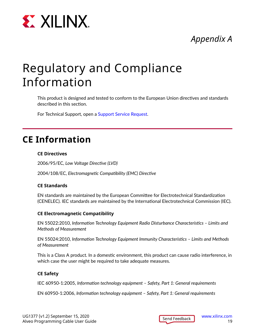<span id="page-18-0"></span>

### *Appendix A*

## Regulatory and Compliance Information

This product is designed and tested to conform to the European Union directives and standards described in this section.

For Technical Support, open a [Support Service Request.](https://www.xilinx.com/support.html#serviceportal)

### **CE Information**

#### **CE Directives**

2006/95/EC, *Low Voltage Directive (LVD)*

2004/108/EC, *Electromagnetic Compatibility (EMC) Directive*

#### **CE Standards**

EN standards are maintained by the European Committee for Electrotechnical Standardization (CENELEC). IEC standards are maintained by the International Electrotechnical Commission (IEC).

#### **CE Electromagnetic Compatibility**

EN 55022:2010, *Information Technology Equipment Radio Disturbance Characteristics – Limits and Methods of Measurement*

EN 55024:2010, *Information Technology Equipment Immunity Characteristics – Limits and Methods of Measurement*

This is a Class A product. In a domestic environment, this product can cause radio interference, in which case the user might be required to take adequate measures.

#### **CE Safety**

IEC 60950-1:2005, *Information technology equipment – Safety, Part 1: General requirements*

EN 60950-1:2006, *Information technology equipment – Safety, Part 1: General requirements*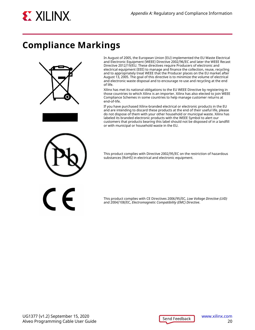<span id="page-19-0"></span>

### **Compliance Markings**





In August of 2005, the European Union (EU) implemented the EU Waste Electrical and Electronic Equipment (WEEE) Directive 2002/96/EC and later the WEEE Recast Directive 2012/19/EU. These directives require Producers of electronic and electrical equipment (EEE) to manage and finance the collection, reuse, recycling and to appropriately treat WEEE that the Producer places on the EU market after August 13, 2005. The goal of this directive is to minimize the volume of electrical and electronic waste disposal and to encourage re-use and recycling at the end of life.

Xilinx has met its national obligations to the EU WEEE Directive by registering in those countries to which Xilinx is an importer. Xilinx has also elected to join WEEE Compliance Schemes in some countries to help manage customer returns at end-of-life.

If you have purchased Xilinx-branded electrical or electronic products in the EU and are intending to discard these products at the end of their useful life, please do not dispose of them with your other household or municipal waste. Xilinx has labeled its branded electronic products with the WEEE Symbol to alert our customers that products bearing this label should not be disposed of in a landfill or with municipal or household waste in the EU.

This product complies with Directive 2002/95/EC on the restriction of hazardous substances (RoHS) in electrical and electronic equipment.



This product complies with CE Directives 2006/95/EC, *Low Voltage Directive (LVD)* and 2004/108/EC, *Electromagnetic Compatibility (EMC) Directive*.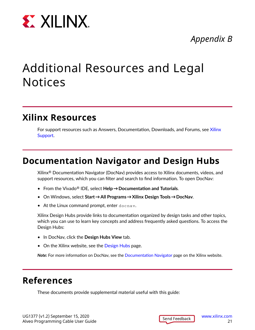<span id="page-20-0"></span>

### *Appendix B*

## Additional Resources and Legal Notices

### **Xilinx Resources**

For support resources such as Answers, Documentation, Downloads, and Forums, see [Xilinx](https://www.xilinx.com/support) [Support.](https://www.xilinx.com/support)

### **Documentation Navigator and Design Hubs**

Xilinx $\mathcal{R}$  Documentation Navigator (DocNav) provides access to Xilinx documents, videos, and support resources, which you can filter and search to find information. To open DocNav:

- From the Vivado® IDE, select **Help → Documentation and Tutorials**.
- On Windows, select **Start → All Programs → Xilinx Design Tools → DocNav**.
- At the Linux command prompt, enter docnav.

Xilinx Design Hubs provide links to documentation organized by design tasks and other topics, which you can use to learn key concepts and address frequently asked questions. To access the Design Hubs:

- In DocNav, click the **Design Hubs View** tab.
- On the Xilinx website, see the [Design Hubs](https://www.xilinx.com/cgi-bin/docs/ndoc?t=design+hubs) page.

*Note***:** For more information on DocNav, see the [Documentation Navigator](https://www.xilinx.com/cgi-bin/docs/rdoc?t=docnav) page on the Xilinx website.

### **References**

These documents provide supplemental material useful with this guide: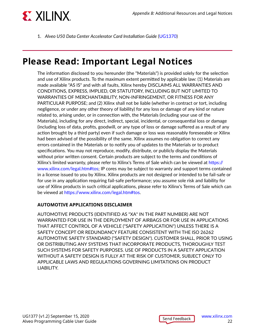<span id="page-21-0"></span>

1. *Alveo U50 Data Center Accelerator Card Installation Guide* [\(UG1370](https://www.xilinx.com/cgi-bin/docs/bkdoc?k=accelerator-cards;d=ug1370-u50-installation.pdf))

### **Please Read: Important Legal Notices**

The information disclosed to you hereunder (the "Materials") is provided solely for the selection and use of Xilinx products. To the maximum extent permitted by applicable law: (1) Materials are made available "AS IS" and with all faults, Xilinx hereby DISCLAIMS ALL WARRANTIES AND CONDITIONS, EXPRESS, IMPLIED, OR STATUTORY, INCLUDING BUT NOT LIMITED TO WARRANTIES OF MERCHANTABILITY, NON-INFRINGEMENT, OR FITNESS FOR ANY PARTICULAR PURPOSE; and (2) Xilinx shall not be liable (whether in contract or tort, including negligence, or under any other theory of liability) for any loss or damage of any kind or nature related to, arising under, or in connection with, the Materials (including your use of the Materials), including for any direct, indirect, special, incidental, or consequential loss or damage (including loss of data, profits, goodwill, or any type of loss or damage suffered as a result of any action brought by a third party) even if such damage or loss was reasonably foreseeable or Xilinx had been advised of the possibility of the same. Xilinx assumes no obligation to correct any errors contained in the Materials or to notify you of updates to the Materials or to product specifications. You may not reproduce, modify, distribute, or publicly display the Materials without prior written consent. Certain products are subject to the terms and conditions of Xilinx's limited warranty, please refer to Xilinx's Terms of Sale which can be viewed at [https://](https://www.xilinx.com/legal.htm#tos) [www.xilinx.com/legal.htm#tos](https://www.xilinx.com/legal.htm#tos); IP cores may be subject to warranty and support terms contained in a license issued to you by Xilinx. Xilinx products are not designed or intended to be fail-safe or for use in any application requiring fail-safe performance; you assume sole risk and liability for use of Xilinx products in such critical applications, please refer to Xilinx's Terms of Sale which can be viewed at [https://www.xilinx.com/legal.htm#tos.](https://www.xilinx.com/legal.htm#tos)

#### **AUTOMOTIVE APPLICATIONS DISCLAIMER**

AUTOMOTIVE PRODUCTS (IDENTIFIED AS "XA" IN THE PART NUMBER) ARE NOT WARRANTED FOR USE IN THE DEPLOYMENT OF AIRBAGS OR FOR USE IN APPLICATIONS THAT AFFECT CONTROL OF A VEHICLE ("SAFETY APPLICATION") UNLESS THERE IS A SAFETY CONCEPT OR REDUNDANCY FEATURE CONSISTENT WITH THE ISO 26262 AUTOMOTIVE SAFETY STANDARD ("SAFETY DESIGN"). CUSTOMER SHALL, PRIOR TO USING OR DISTRIBUTING ANY SYSTEMS THAT INCORPORATE PRODUCTS, THOROUGHLY TEST SUCH SYSTEMS FOR SAFETY PURPOSES. USE OF PRODUCTS IN A SAFETY APPLICATION WITHOUT A SAFETY DESIGN IS FULLY AT THE RISK OF CUSTOMER, SUBJECT ONLY TO APPLICABLE LAWS AND REGULATIONS GOVERNING LIMITATIONS ON PRODUCT LIABILITY.